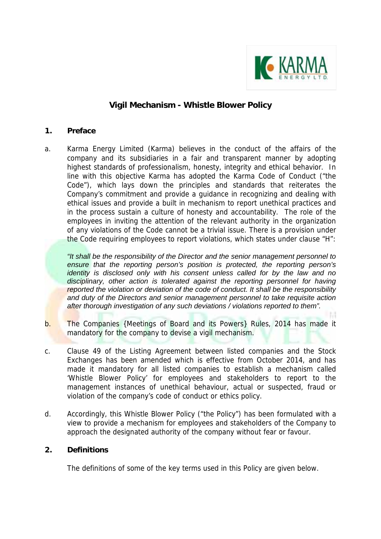

# **Vigil Mechanism - Whistle Blower Policy**

#### **1. Preface**

a. Karma Energy Limited (Karma) believes in the conduct of the affairs of the company and its subsidiaries in a fair and transparent manner by adopting highest standards of professionalism, honesty, integrity and ethical behavior. In line with this objective Karma has adopted the Karma Code of Conduct ("the Code"), which lays down the principles and standards that reiterates the Company's commitment and provide a guidance in recognizing and dealing with ethical issues and provide a built in mechanism to report unethical practices and in the process sustain a culture of honesty and accountability. The role of the employees in inviting the attention of the relevant authority in the organization of any violations of the Code cannot be a trivial issue. There is a provision under the Code requiring employees to report violations, which states under clause "H":

*"It shall be the responsibility of the Director and the senior management personnel to ensure that the reporting person's position is protected, the reporting person's identity is disclosed only with his consent unless called for by the law and no disciplinary, other action is tolerated against the reporting personnel for having reported the violation or deviation of the code of conduct. It shall be the responsibility and duty of the Directors and senior management personnel to take requisite action after thorough investigation of any such deviations / violations reported to them".* 

- b. The Companies {Meetings of Board and its Powers} Rules, 2014 has made it mandatory for the company to devise a vigil mechanism.
- c. Clause 49 of the Listing Agreement between listed companies and the Stock Exchanges has been amended which is effective from October 2014, and has made it mandatory for all listed companies to establish a mechanism called 'Whistle Blower Policy' for employees and stakeholders to report to the management instances of unethical behaviour, actual or suspected, fraud or violation of the company's code of conduct or ethics policy.
- d. Accordingly, this Whistle Blower Policy ("the Policy") has been formulated with a view to provide a mechanism for employees and stakeholders of the Company to approach the designated authority of the company without fear or favour.

# **2. Definitions**

The definitions of some of the key terms used in this Policy are given below.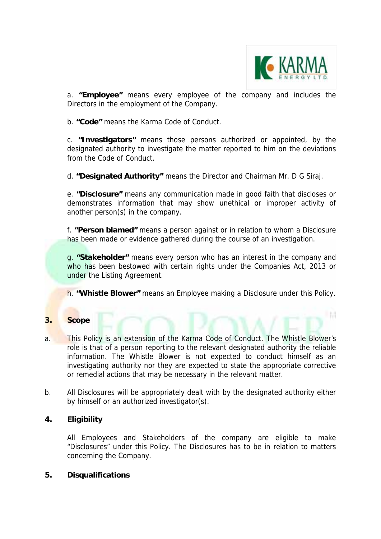

H.

a. **"Employee"** means every employee of the company and includes the Directors in the employment of the Company.

b. **"Code"** means the Karma Code of Conduct.

c. **"Investigators"** means those persons authorized or appointed, by the designated authority to investigate the matter reported to him on the deviations from the Code of Conduct.

d. **"Designated Authority"** means the Director and Chairman Mr. D G Siraj.

e. **"Disclosure"** means any communication made in good faith that discloses or demonstrates information that may show unethical or improper activity of another person(s) in the company.

f. **"Person blamed"** means a person against or in relation to whom a Disclosure has been made or evidence gathered during the course of an investigation.

g. **"Stakeholder"** means every person who has an interest in the company and who has been bestowed with certain rights under the Companies Act, 2013 or under the Listing Agreement.

h. **"Whistle Blower"** means an Employee making a Disclosure under this Policy.

# **3. Scope**

- a. This Policy is an extension of the Karma Code of Conduct. The Whistle Blower's role is that of a person reporting to the relevant designated authority the reliable information. The Whistle Blower is not expected to conduct himself as an investigating authority nor they are expected to state the appropriate corrective or remedial actions that may be necessary in the relevant matter.
- b. All Disclosures will be appropriately dealt with by the designated authority either by himself or an authorized investigator(s).

# **4. Eligibility**

All Employees and Stakeholders of the company are eligible to make "Disclosures" under this Policy. The Disclosures has to be in relation to matters concerning the Company.

#### **5. Disqualifications**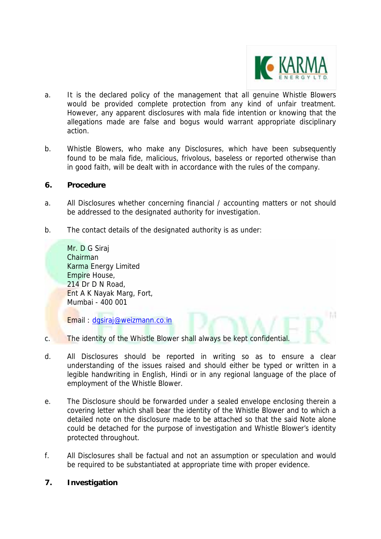

**A** 

- a. It is the declared policy of the management that all genuine Whistle Blowers would be provided complete protection from any kind of unfair treatment. However, any apparent disclosures with mala fide intention or knowing that the allegations made are false and bogus would warrant appropriate disciplinary action.
- b. Whistle Blowers, who make any Disclosures, which have been subsequently found to be mala fide, malicious, frivolous, baseless or reported otherwise than in good faith, will be dealt with in accordance with the rules of the company.

#### **6. Procedure**

- a. All Disclosures whether concerning financial / accounting matters or not should be addressed to the designated authority for investigation.
- b. The contact details of the designated authority is as under:

Mr. D G Siraj Chairman Karma Energy Limited Empire House, 214 Dr D N Road, Ent A K Nayak Marg, Fort, Mumbai - 400 001

Email : dgsiraj@weizmann.co.in

- c. The identity of the Whistle Blower shall always be kept confidential.
- d. All Disclosures should be reported in writing so as to ensure a clear understanding of the issues raised and should either be typed or written in a legible handwriting in English, Hindi or in any regional language of the place of employment of the Whistle Blower.
- e. The Disclosure should be forwarded under a sealed envelope enclosing therein a covering letter which shall bear the identity of the Whistle Blower and to which a detailed note on the disclosure made to be attached so that the said Note alone could be detached for the purpose of investigation and Whistle Blower's identity protected throughout.
- f. All Disclosures shall be factual and not an assumption or speculation and would be required to be substantiated at appropriate time with proper evidence.

# **7. Investigation**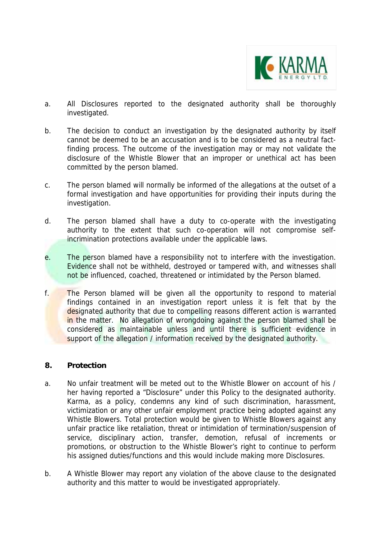

- a. All Disclosures reported to the designated authority shall be thoroughly investigated.
- b. The decision to conduct an investigation by the designated authority by itself cannot be deemed to be an accusation and is to be considered as a neutral factfinding process. The outcome of the investigation may or may not validate the disclosure of the Whistle Blower that an improper or unethical act has been committed by the person blamed.
- c. The person blamed will normally be informed of the allegations at the outset of a formal investigation and have opportunities for providing their inputs during the investigation.
- d. The person blamed shall have a duty to co-operate with the investigating authority to the extent that such co-operation will not compromise selfincrimination protections available under the applicable laws.
- e. The person blamed have a responsibility not to interfere with the investigation. Evidence shall not be withheld, destroyed or tampered with, and witnesses shall not be influenced, coached, threatened or intimidated by the Person blamed.
- f. The Person blamed will be given all the opportunity to respond to material findings contained in an investigation report unless it is felt that by the designated authority that due to compelling reasons different action is warranted in the matter. No allegation of wrongdoing against the person blamed shall be considered as maintainable unless and until there is sufficient evidence in support of the allegation / information received by the designated authority.

# **8. Protection**

- a. No unfair treatment will be meted out to the Whistle Blower on account of his / her having reported a "Disclosure" under this Policy to the designated authority. Karma, as a policy, condemns any kind of such discrimination, harassment, victimization or any other unfair employment practice being adopted against any Whistle Blowers. Total protection would be given to Whistle Blowers against any unfair practice like retaliation, threat or intimidation of termination/suspension of service, disciplinary action, transfer, demotion, refusal of increments or promotions, or obstruction to the Whistle Blower's right to continue to perform his assigned duties/functions and this would include making more Disclosures.
- b. A Whistle Blower may report any violation of the above clause to the designated authority and this matter to would be investigated appropriately.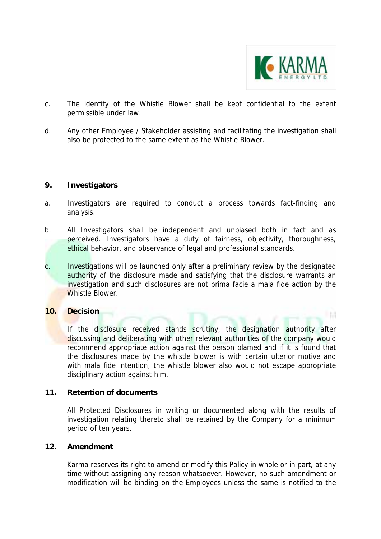

l M

- c. The identity of the Whistle Blower shall be kept confidential to the extent permissible under law.
- d. Any other Employee / Stakeholder assisting and facilitating the investigation shall also be protected to the same extent as the Whistle Blower.

#### **9. Investigators**

- a. Investigators are required to conduct a process towards fact-finding and analysis.
- b. All Investigators shall be independent and unbiased both in fact and as perceived. Investigators have a duty of fairness, objectivity, thoroughness, ethical behavior, and observance of legal and professional standards.
- c. Investigations will be launched only after a preliminary review by the designated authority of the disclosure made and satisfying that the disclosure warrants an investigation and such disclosures are not prima facie a mala fide action by the Whistle Blower.

# **10. Decision**

If the disclosure received stands scrutiny, the designation authority after discussing and deliberating with other relevant authorities of the company would recommend appropriate action against the person blamed and if it is found that the disclosures made by the whistle blower is with certain ulterior motive and with mala fide intention, the whistle blower also would not escape appropriate disciplinary action against him.

#### **11. Retention of documents**

All Protected Disclosures in writing or documented along with the results of investigation relating thereto shall be retained by the Company for a minimum period of ten years.

#### **12. Amendment**

Karma reserves its right to amend or modify this Policy in whole or in part, at any time without assigning any reason whatsoever. However, no such amendment or modification will be binding on the Employees unless the same is notified to the